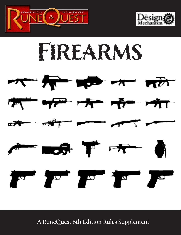





A RuneQuest 6th Edition Rules Supplement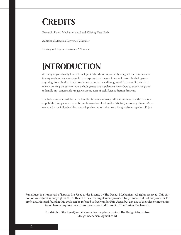## **Credits**

Research, Rules, Mechanics and Lead Writing: Pete Nash

Additional Material: Lawrence Whitaker

Editing and Layout: Lawrence Whitaker

# **Introduction**

As many of you already know, RuneQuest 6th Edition is primarily designed for historical and fantasy settings. Yet some people have expressed an interest in using firearms in their games, anything from piratical black powder weapons to the radium guns of Barsoom. Rather than merely limiting the system to its default genres this supplement shows how to tweak the game to handle any conceivable ranged weapons, even hi-tech Science Fiction firearms.

The following rules will form the basis for firearms in many different settings, whether released as published supplements or as future free-to-download guides. We fully encourage Game Masters to take the following ideas and adapt them to suit their own imaginative campaigns. Enjoy!

RuneQuest is a trademark of Issaries Inc. Used under License by The Design Mechanism. All rights reserved. This edition of RuneQuest is copyright © 2012. This PDF is a free supplement provided by personal, but not corporate or for profit use. Material found in this book can be referred to freely under Fair Usage, but any use of the rules or mechanics found herein requires the express permission and consent of The Design Mechanism.

> For details of the RuneQuest Gateway license, please contact The Design Mechanism (designmechanism@gmail.com).

2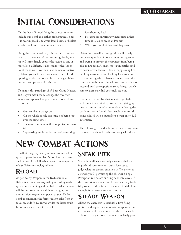# **Initial Considerations**

On the face of it modifying the combat rules to include gun combat is rather problematical, since it is near impossible to avoid laser beams or bullets which travel faster than human reflexes.

Using the rules as written, this means that unless you try to dive clear of the area using Evade, any hit will immediately expose the victim to one or more Special Effects. It also changes the Action Point economy. If you can't use points to reactively defend yourself then most characters will end up using all their actions to blast away, gambling on the incompetence of their foes.

To handle this paradigm shift both Game Masters and Players may need to change the way they view – and approach – gun combat. Some things to note are:

- Gun combat is dangerous!
- On the whole people prioritise not being shot over shooting others
- The most common method of protection is to take cover
- Suppressing fire is the best way of preventing

foes shooting back

- Firearms are surprisingly inaccurate unless time is taken to brace and/or aim
- When you are shot, bad stuff happens

Defending oneself against gunfire will largely become a question of body armour, using cover and trying to prevent the opponent from being able to fire back. As such, most gun battles tend to become very tactical – lots of suppressing fire, flanking movement and flushing foes from deep cover – during which characters may pass entire combat rounds being pinned down and unable to respond until the opposition stops firing... which some players may find extremely tedious.

It is perfectly possible that an entire gunfight will result in no injuries, just one side giving up due to running out of ammunition or fleeing the battle entirely. After all, few people want to risk being riddled with a burst from a weapon on fullautomatic.

The following are addendums to the existing combat rules and should mesh seamlessly with them.

# **New Combat Actions**

To reflect the gritty reality of firearms, several new types of proactive Combat Action have been created. Some of the following depend on weaponry of a sufficient technological level.

### **Reload**

As per Ready Weapon in the RQ6 core rules. Reloading times can vary wildly according to the type of weapon. Single shot black powder muskets will be far slower to reload than changing an ammunition magazine or power source. Under combat conditions the former might take from 15 to 20 seconds (9-12 Turns) whilst the latter could be as fast as 5 seconds (3 Turns).

### **Sneak Peek**

Sneak Peek allows somebody currently sheltering behind cover to take a quick look-see to judge what the tactical situation is. The action is ostensibly safe, permitting the observer a single Perception roll before ducking back into cover. If the Perception test is a fumble however, they foolishly overextend their head or remain in sight long enough for an enemy to take a pot shot.

## **Steady Weapon**

Allows the character to establish a firm firing posture and support an automatic weapon so that it remains stable. It requires that the character be at least partially exposed and not completely pro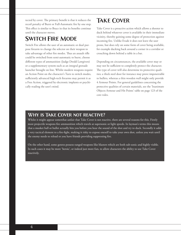tected by cover. The primary benefit is that it reduces the recoil penalty of Burst or Full-Automatic fire by one step. This effect is similar to Brace in that its benefits continue until the character moves.

### **Switch Fire Mode**

Switch Fire allows the user of an automatic or dual purpose firearm to change the selector on their weapon to take advantage of other fire modes. Thus an assault rifle could be switched from semi-automatic to burst, choose different types of ammunition (Judge Dredd Lawgivers) or a supplementary system such as an integral grenade launcher brought on line. Whilst modern weapons require an Action Point on the character's Turn to switch modes, sufficiently advanced high-tech firearms may permit it as a Free Action, triggered by electronic implants or psychically reading the user's mind.

### **Take Cover**

Take Cover is a proactive action which allows a shooter to duck behind whatever cover is available in their immediate vicinity, thereby gaining some degree of protection against incoming fire. Unlike Evade it does not leave the user prone, but does rely on some form of cover being available, for example ducking back around a corner in a corridor or crouching down behind a table in a bar.

Depending on circumstances, the available cover may or may not be sufficient to completely protect the character. The type of cover will also determine its protective qualities; a thick steel door for instance may prove impenetrable to bullets, whereas a thin wooden wall might only provide 4 Armour Points. For general guidelines concerning the protective qualities of certain materials, see the 'Inanimate Objects Armour and Hit Points' table on page 123 of the core rules.

#### **Why is Take Cover not reactive?**

Whilst it might appear somewhat unfair that Take Cover is not reactive, there are several reasons for this. Firstly most projectile weapons fire ammunition which travels at supersonic or light speeds. In layman's terms this means that a musket ball or bullet actually hits you before you hear the sound of the shot and try to duck. Secondly it adds a very tactical element to a fire-fight, making it risky to expose oneself to take your own shot, unless you wait until the enemy needs to reload or you have friends providing suppressing fire.

On the other hand, some genres possess ranged weapons like blasters which are both sub-sonic and highly visible. In such cases it may be more 'heroic', or indeed just more fun, to allow characters the ability to use Take Cover reactively.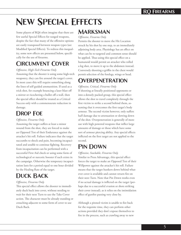# **New Special Effects**

Some players of RQ6 often imagine that there are few useful Special Effects for ranged weapons, despite the fact that many of the offensive options are easily transposed between weapon types (see Modified Special Effects). To redress this inequality, some new effects are presented below, specifically for the use of firearms.

### **Circumvent Cover**

#### *Offensive, High-Tech Firearms Only*

Assuming that the shooter is using some high-tech weaponry, they can fire around the target's cover. In most cases this will require something along the lines of self guided ammunition. If used as a trick shot, for example bouncing a laser blast off a mirror or ricocheting a bullet off a wall, then the special effect should be treated as a Critical Success only with a commensurate reduction in damage.

## **Drop Foe**

#### *Offensive, Firearms Only*

Assuming the target suffers at least a minor wound from the shot, they are forced to make an Opposed Test of their Endurance against the attacker's hit roll. Failure indicates that the target succumbs to shock and pain, becoming incapacitated and unable to continue fighting. Recovery from incapacitation can be performed with a successful First Aid check or using some form of technological or narcotic booster if such exists in the campaign. Otherwise the temporary incapacitation lasts for a period equal to one hour divided by the Healing Rate of the target.

## **Duck Back**

#### *Offensive, Firearms Only*

This special effect allows the shooter to immediately duck back into cover, without needing to wait for their next Turn to use the Take Cover action. The character must be already standing or crouching adjacent to some form of cover to use Duck Back.

### **Marksman**

#### *Offensive, Firearms Only*

Permits the shooter to move the Hit Location struck by his shot by one step, to an immediately adjoining body area. Physiology has an effect on what can be re-targeted and common sense should be applied. Thus using this special effect on a humanoid would permit an attacker who rolled a leg shot, to move it up to the abdomen instead. Conversely shooting a griffin in the chest would permit selection of the forelegs, wings or head.

### **Overpenetration**

#### *Offensive, Critical, Firearms Only*

If shooting at lineally positioned opponents or into a densely packed group, this special effect allows the shot to travel completely through the first victim to strike a second behind them, assuming that it overcomes the first target's body armour. The second victim however, only suffers half damage due to attenuation or slowing down of the shot. Overpenetration is generally of more use with high powered weapons that inflict large amounts of damage or those which have some sort of armour piercing ability. Any special effects inflicted on the first target are not applied to the second.

### **Pin Down**

#### *Offensive, Stackable, Firearms Only* Similar to Press Advantage, this special effect forces the target to make an Opposed Test of their Willpower against the attacker's hit roll. Failure means that the target hunkers down behind whatever cover is available and cannot return fire on their next Turn. Note that Pin Down works even if no actual damage is inflicted on the target (perhaps due to a successful evasion or shots striking their cover instead), as it relies on the intimidation effect of gunfire passing very close by.

Although a pinned victim is unable to fire back for the requisite time, they can perform other actions provided they don't expose themselves to fire in the process, such as crawling away to new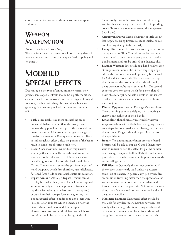cover, communicating with others, reloading a weapon and so on.

### **Weapon Malfunction**

#### *Attacker Fumbles, Firearms Only*

The attacker's firearm malfunctions in such a way that it is rendered useless until time can be spent field stripping and cleaning it.

## **Modified Special Effects**

Depending on the type of ammunition or energy they project, some Special Effects should be slightly modified, even restricted. It is impossible to cover all types of ranged weaponry as there will always be exceptions, but some general guidelines are provided for the most common effects.

- **Bash:** Since Bash relies more on catching an opponent off balance, rather than throwing them backwards by pure force, it is perfectly reasonable for projectile ammunition to cause a target to stagger if it strikes an extremity. Energy weapons are less likely to inflict such an effect unless the physics of the beam result in some sort of surface explosion.
- **Bleed**: Since most firearms produce very narrow wound paths, it is actually more difficult to nick or sever a major blood vessel than it is with a slicing or stabbing weapon. Due to this Bleed should be a Critical Success only – unless the gun is some sort of weird weaponry which fires shuriken, razor fléchettes, flattened force fields or some such exotic ammunition.
- **Bypass Armour:** Although Bypass Armour can ostensibly be used with any sort of attack, some types of ammunition might either be prevented from accessing this effect (shot gun pellets due to their spread) or built into their base performance, granting it as a bonus special effect in addition to any others won (Teleportation rounds). Much depends on how the Game Master wishes to model the weapon.
- **Choose Location**: As per the default rules, Choose Location should be restricted to being a Critical

Success only, unless the target is within close range and is either stationary or unaware of the impending attack. Telescopic scopes may extend this range (see Spot Rules).

- **Circumvent Parry:** This is obviously of little use unless targets are using firearm resistant shields, or you are shooting at a lightsabre armed Jedi...
- **Compel Surrender:** Firearms are usually very intimidating weapons. Thus Compel Surrender need not be restricted to only those targets placed at a tactical disadvantage; and can be utilised at a distance also.
- **• Damage Weapon**: Since striking a hand held weapon at range is even more difficult than targeting a specific body location, this should generally be reserved for Critical Successes only. There are several exceptions however, the first being that a shield should, by its very nature, be much easier to hit. The second concerns exotic weapons which fire a cone shaped beam able to target hand held objects within its area of affect; for instance an induction gun that heats metal objects.
- **Disarm Opponent:** As per Damage Weapon above. There's nothing quite as satisfying than shooting an enemy's gun right out of their hands.
- **Entangle:** Although usually reserved for thrown weapons such as nets or the bolas, entangling firearms are a staple for some golden and silver-age science fiction settings. Tanglers should be permitted access to this special effect.
- **Impale**: The ammunition of most projectile-based firearms will be able to impale. Game Masters may wish to restrict or ban this effect for plasma or laser based energy weapons. Bullets, fléchettes and similar projectiles are clearly too small to impose any secondary impaling effects.
- **Kill Silently:** Obviously this cannot be selected if the weapon is inherently loud unless it possesses some sort of silencer. In general, any gun which fires ammunition travelling faster than the speed of sound will make significant noise, no matter what method it uses to accelerate the projectile. Sniping with something like a Microwave Laser on the other hand will be utterly inaudible.
- Maximise Damage: This special effect should be available for any firearm. Remember however, that it only affects a single die. Something which should be taken into consideration by a Game Master when designing modern or futuristic weapons for their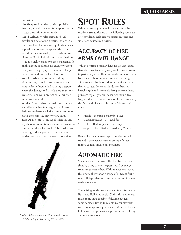### **RQ Firearms**

campaign.

- Pin Weapon: Useful only with specialised firearms, it could be used for harpoon guns or tractor beam rifles for example.
- **• Rapid Reload**: Whilst useful for black powder or single round firearms, this special effect has less of an obvious application when applied to automatic weapons, where the next shot is chambered (or charged) instantly. However, Rapid Reload could be utilised instead to quickly change weapon magazines. It might also be applicable for energy weapons that possess lengthy cycle times to recharge capacitors or allow the barrel to cool.
- **Stun Location:** Perfect for certain types of projectiles, it could also be an inherent bonus effect of non-lethal stun-ray weapons, where the damage roll is only used to see if it overcomes any worn protection rather than inflicting a wound.
- **Sunder:** A somewhat unusual choice, Sunder would be suitable for energy-based firearms designed to destroy ablative armours or more exotic concepts like gravity wave guns.
- **Trip Opponent:** Assuming the firearm actually shoots ammunition with mass, there is no reason that this effect couldn't be used when shooting at the legs of an opponent, even if no damage penetrates any worn protection.



*Carlesn Weapon Systems 20mm Split Beam* automatic weapons. *Violator Light Repeating Blaster Rifle*

# **Spot Rules**

Whilst running gun based combat should be relatively straightforward, the following spot rules are provided to help resolve certain features and situations caused by firearms.

### **Accuracy of Firearms over Range**

Whilst firearms generally have far greater ranges than their less technologically sophisticated counterparts, they are still subject to the same accuracy issues when shooting at a distance. The design of a firearm can also have a significant effect upon their accuracy. For example, due to their short barrel length and less stable firing position, handguns are typically more inaccurate than rifles. In general use the following modifiers when using the 'Size and Distance Difficulty Adjustment' table:

- Pistols Increase penalty by 1 step
- Carbines/SMGs No modifier
- Rifles Reduce penalty by 1 step
- Sniper Rifles Reduce penalty by 2 steps

Remember that as an exception to the normal rule, distance penalties stack on top of other ranged combat situational modifiers.

### **Automatic Fire**

Some firearms automatically chamber the next shot, by using the waste gases, recoil or energy from the previous shot. With no need to recock, this grants the weapon a range of different firing rates, all dependent on how much ammo the user wishes to release.

These firing modes are known as Semi-Automatic, Burst and Full-Automatic. Whilst this ability can make some guns capable of dealing out fearsome damage, trying to maintain accuracy with recoiling weapons is problematic. Assume that the following rules primarily apply to projectile firing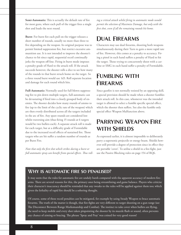**Semi-Automatic:** This is actually the default rate of fire for most guns, where each pull of the trigger fires a single shot and loads the next round.

**Burst**: For burst fire each pull on the trigger releases a short number of rounds, usually no more than three to five depending on the weapon. Its original purpose was to permit limited suppression fire, but restrict excessive ammunition use. It is not intended to improve the shooter's chance to hit since rapid, sequential recoil continually jerks the weapon off-line. Firing in burst mode imposes a penalty grade of Hard to the attack roll. If the attack succeeds however, the shooter rolls a dice to see how many of the rounds in that burst struck home on the target. So a three round burst would use 1d3. Roll separate location and damage for each round which hits.

**Full-Automatic:** Normally used for full blown suppressing fire to pin down multiple targets, full-automatic can be devastating if fired into a closely grouped body of enemies. The shooter decides how many rounds of ammo to fire (up to the limit of the cyclic rate of the weapon) which are then evenly distributed across all the targets included in the arc of fire. Any spare rounds are considered lost whilst traversing aim (thus firing 15 rounds at 6 targets would be two bullets each). A separate attack roll is made for each target, but at a difficulty grade of Formidable due to the increased recoil effects of sustained fire. Those targets who are hit suffer a random number of rounds as per Burst Fire.

*Note that only the first shot which strikes during a burst or full automatic spray can benefit from special effects. Thus roll-*

*ing a critical attack whilst firing in automatic mode would permit the selection of Maximise Damage, but only with the first shot, even if all the remaining rounds hit home.*

### **Dual Firearms**

Characters may use dual firearms, shooting both weapons simultaneously during their Turn to gain a more rapid rate of fire. However, this comes at a penalty to accuracy. Firing a pistol in each hand suffers a penalty of Hard to hit the target. Those trying to concurrently shoot with a carbine or SMG in each hand suffer a penalty of Formidable.

### **Fumbling with Firearms**

Since gunfire is not normally resisted by an opposing skill, a special provision should be made when a shooter fumbles their attack roll. In this case, whomever was the intended target is allowed to select a fumble specific special effect, which the shooter then suffers. See also the fumble only special effect Weapon Malfunction above.

### **Parrying Weapon Fire with Shields**

As expressed earlier, it is almost impossible to deliberately parry a supersonic projectile or energy beam. Shields however still provide a degree of protection since in effect they are portable 'cover'. To utilise a shield in a fire-fight, just use the Passive Blocking rules on page 154 of RQ6.

nimp erciur, nonseq

#### **Why is automatic fire so penalised?**

It may seem that the rules for automatic fire are unduly harsh compared with the apparent accuracy of modern firearms. There are several reasons for this, the primary ones being streamlining and game balance. Players who criticise their character's inaccuracy should be reminded that any tweaks to the rules will be applied against them too; which given the lethality of rapid fire should be a sobering thought.

firearms. The truth of the matter is though, that fire-fights are very different to target shooting on a gun range (see The Disconnect Between Range Marksmanship and Combat). The instinct to take cover when bullets are flying, when the need to keep mobile and every shot taken pinpointing the shooter by its muzzle flash or sound, often prevents any chance of aiming or bracing. The phrase 'Spray and Pray' was coined for very good reason! Of course, some of these recoil penalties can be mitigated, for example by using Steady Weapon to brace automatic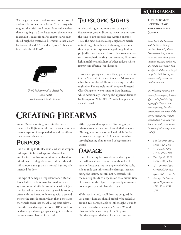### **RQ Firearms**

With regard to more modern firearms or those of a science fiction nature, a Game Master may wish to grant the shield an Armour Point value rather than assigning it a Size, based upon the inherent material it is made from. For example a wooden shield might be treated as 4 Armour Points, a Kevlar tactical shield 8 AP, and a Ulysses 31 bracelet force field shield 15 AP.



*Tyrell Industries .408 Recoil-less Gauss Pistol. Nicknamed 'Hand Cannon'*

### **Telescopic Sights**

A telescopic sight improves the accuracy of a firearm over greater distances when the user takes the time to aim properly (see Aiming on page 159). The most basic telescopic sights are merely optical magnifiers, but as technology advances they begin to incorporate integral rangefinders, projectile trajectory calculators, air movement sensors, atmospheric lensing compensators, IR or low light amplifiers and a host of other gadgets which improve its effective 'hit' distance.

Thus telescopic sights reduce the apparent distance (on the Size and Distance Difficulty Adjustment table) by a number of distance steps equal to the multiplier. For example an x12 scope will extend Close Range to twelve times its base distance, whilst additionally reducing the apparent distance by 12 steps, or 240m (12 x 20m) before penalties are calculated.

# **Creating Firearms**

Game Masters wanting to create their own firearms for RQ6 must take into consideration numerous aspects of weapon design and the effects they pose on characters.

### **Purpose**

The first thing to think about is what the weapon is designed to be used against. An elephant gun for instance has ammunition calculated to take down charging big game, and thus should inflict more damage than a normal hunting rifle intended for deer.

The type of damage is important too. A Rocket Propelled Grenade is manufactured to be used against tanks. Whilst it can inflict terrible injuries, its real purpose is to destroy vehicle armour, often with the intent to follow up with a second shot to the same location which then penetrates the vehicle easier (see the Ablating trait below). Thus the base damage dice for an RPG need not be that large, allowing anyone caught in its blast radius a better chance of survival.

Other types of damage exist. Stunning or paralysis allows the creation of non-lethal weapons. Disintegration on the other hand might inflict permanent damage on Hit Locations making it very frightening if no method of regeneration exists!

### **Damage**

In real life it is quite possible to be shot by small or medium calibre handgun rounds and still remain functional. At the upper end of the scale, rifle rounds can inflict terrible damage, incapacitating the victim, but still not necessarily kill them outright. Much depends on the ammunition of course, but the objective is generally to wound, not completely annihilate the target.

With that in mind, small firearms designed for use against humans should probably be scaled at around 1d6 damage, able to inflict Light Wounds with a reasonable chance of a Serious Wound. This would be something like a .38 pistol. Top tier weapons designed for use against hu-

#### **The Disconnect Between Range Marksmanship & Combat**

*Since 1970, the Firearms and Tactics Section of the New York City Police Department has gathered statistical data about police involved firearms exchanges. The results have shown that an officer's ability on a target range has little bearing on what actually occurs in a combat situation.*

*The following statistics are the hit percentages of trained officers who fired during a gunfight. They are not only surprising, but also demonstrate that some of the more penalising Spot Rules modelled for RQ6 gun combat are actually very lenient in terms of what happens in real life.*

- *• 3 or less yards: 1990, 38%; 1992, 28%*
- *• 3 7 yards: 1990, 11.5%; 1992, 11%*
- *• 7 15 yards: 1990, 9.4%; 1992, 4.2%*
- *• 15 25 yards (1990 not included in average); 1992, 2.3%*
- *• Average Hit Percentage at 15 yards or less: 1990, 19%; 1992, 17%*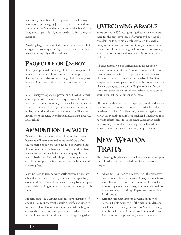mans really shouldn't inflict any more than 20 damage maximum, but averaging just over half that, enough to regularly inflict Major Wounds. A top of the line M24 or Dragunov sniper rifle might be rated at 2d8+4 damage for instance.

Anything larger is just wasted ammunition mass or shot energy, and works against player character survivability when facing equally well armed foes.

### **Projectile or Energy**

The type of projectile or energy shot from a weapon will have consequences on how it works. For example a visible Laser may be able to pass through bullet-proof glass, bounce off mirrors, and yet be utterly useless in fog or rain.

Whilst energy weapons are pretty much fixed as to their effects, projectile weapons can be quite versatile according to what ammunition they are loaded with. In fact the type and amount of damage caused depends more on the bullet, rather than the gun which projects it. The latter having more influence over firing modes, range, accuracy and such like.

## **Ammunition Capacity**

Whether a firearm shoots physical projectiles or energy beams, it will have a limited number of shots before the magazine or power source needs to be swapped out. This is important, not because of any real world or hard science considerations, but without changing clips on a regular basis, a firefight will simply be won by whomever establishes suppressing fire first and then walks down his cowering foes.

With no need to reload, every battle may well turn into a bloodbath, which is fine if you are merely expending clones or droids, but will become extremely frustrating to players when rolling up new characters for the umpteenth time.

Modern projectile weapons currently have magazines of about 10-30 rounds, which should be sufficient capacity to enable a decent amount of shooting until needing to change the clip. Heavier support weapons which have a much higher rate of fire, should possess larger magazines.

### **Overcoming Armour**

Some previous d100 settings using firearms have compensated for the protective value of armour by boosting the base damage to very high levels. Although this enables injury of those wearing significant body armour, it has a detrimental effect of making such weapons near instantly lethal against unprotected foes, which is not necessarily realistic.

A better alternative is that firearms should reduce or bypass a certain number of Armour Points according to their penetrative nature. This permits the base damage of the weapon to remain within survivable limits. Some weapons may be completely unaffected by armour entirely, like electromagnetic weapons of higher or lower frequencies; or weapons which inflict other effects, such as brain scramblers that induce unconsciousness.

Of course, with more exotic weaponry there should always be some form of counter or protection available to thwart its effects. In a hard Sci-Fi setting, defending against an X-Ray Laser might require 1cm thick lead-lined armour to halve its effects (great for cross-genre Gloranthan trolls), or conversely 150m of air, meaning that X-Ray rifles are going to be rather poor as long range sniper weapons.

## **New Weapon Traits**

The following list gives some new Firearm specific weapon traits. Further traits can be designed for more exotic weaponry.

- Ablating: Designed to directly attack the protective armour of an object or person. Damage is done to Armour Points first. Once the armour has been reduced to zero, any remaining damage continues through to the target. Most HE (High Explosive) ammunition fits this trait.
- Armour Piercing: Ignores a specific number of Armour Points equal to half the maximum damage capability of the firing weapon. So Armour Piercing rounds fired from a .45 pistol would ignore the first four points of any protection, whereas those fired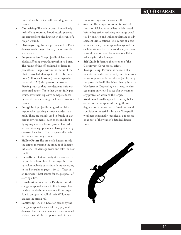from .50 calibre sniper rifle would ignore 12 points.

- **Cauterising:** The bolt or beam immediately seals off any ruptured blood vessels, preventing targets from bleeding out in the event of a Major Wound.
- **Disintegrating**: Inflicts permanent Hit Point damage to the target, literally vaporising the area struck.
- **Fragmentation:** The projectile violently explodes, affecting everything within its burst. The radius of this effect should be listed in parenthesis. Targets within the radius of the blast receive half damage to 1d3-1 Hit Locations (roll for each wound). Some explosive rounds (HEAP) also possess the Armour Piercing trait, so that they detonate inside an armoured object. Those that do not fully penetrate, have their explosive damage reduced by double the remaining thickness of Armour Points.
- Frangible: A projectile designed to disintegrate when striking a surface harder than itself. These are mainly used in fragile or dangerous environments, such as the inside of a flying airplane or a fusion power plant, where a stray hit on equipment can have potentially catastrophic effects. They are generally ineffective against body armour.
- **Hollow Point:** The projectile flattens inside the target, increasing the amount of damage inflicted. Roll damage twice and take the best result.
- **Incendiary:** Designed to ignite whatever the projectile or beam hits. If the target is naturally flammable it bursts into flame according to the Fire rules on pages 120-121. Treat as an Intensity 3 heat source for the purposes of starting a fire.
- **Knockout:** Similar to the Paralysis trait, this energy weapon does not inflict damage, but renders the victim unconscious if the target fails in an opposed roll of their Willpower against the attack roll.
- Paralysing: The Hit Location struck by the energy weapon does not take any physical damage, but is instead rendered incapacitated if the target fails in an opposed roll of their

Endurance against the attack roll.

- **Scatter**: The weapon or round is made of tiny shot, fléchettes or pellets which spread before they strike, reducing any range penalties by one step and inflicting damage to 1d3 adjacent Hit Locations. This comes at a cost however. Firstly the weapon damage roll for each location is halved; secondly any armour, natural or worn, doubles its Armour Point value against the damage.
- **Self Guided:** Permits the selection of the Circumvent Cover special effect.
- Tranquilising: Permits the delivery of a narcotic or medicine, either by injection from a tiny ampoule built into the projectile, or by the projectile itself dissolving directly into the bloodstream. Depending on its nature, damage might only rolled to see if it overcomes any protection worn by the target.
- **Weakness:** Usually applied to energy bolts or beams, the weapon suffers significant degradation to some form of environmental condition or material substance. The specific weakness is normally specified as a footnote or as part of the weapon's detailed description.

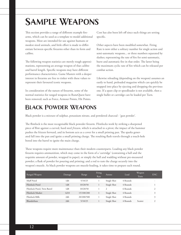# **Sample Weapons**

This section provides a range of different example firearms, which can be used as a template to model additional weapons. Most are intended for use against humans or modest sized animals, and little effort is made to differentiate between specific firearms other than its form and calibre.

The following weapon statistics are merely rough approximations, representing an average weapon of that calibre and barrel length. Specific weapons may have different performance characteristics. Game Masters with a deeper interest in firearms are free to tinker with these values to represent their favoured iconic weapons.

In consideration of the nature of firearms, some of the normal statistics for ranged weapons in RuneQuest have been removed; such as Force, Armour Points, Hit Points.

Cost has also been left off since such things are setting specific.

Other aspects have been modified somewhat. Firing Rate is now either a solitary number for single action and semi-automatic weapons... or three numbers separated by slashes; representing the rate of fire for semi-automatic, burst and automatic fire in that order. The latter being the maximum cyclic rate of fire which can be released per combat action.

Likewise reloading (depending on the weapon) assumes an easily to hand, preloaded magazine which can quickly be snapped into place by ejecting and dropping the previous one. If a spare clip or speedloader is not available, then a single bullet or cartridge can be loaded per Turn.

## **Black Powder Weapons**

Black powder is a mixture of sulphur, potassium nitrate, and powdered charcoal - 'gun powder'.

The flintlock is the most recognisable black poweder firearm. Flintlocks work by striking a sharpened piece of flint against a curved, hard steel *frizzen*, which is attached to a pivot; the impact of the hammer pushes the frizzen forward, and its bottom acts as a cover for a small priming pan. The sparks generated fall into the pan and ignite a small priming charge. The resulting flash travels through a touch-hole bored into the barrel to ignite the main charge.

These weapons require more maintenance than their modern counterparts. Loading any black powder firearm requires ammunition, which may come in the form of a 'cartridge' (containing a ball and the requisite amount of powder, wrapped in paper), or simply the ball and wadding without pre-measured powder; a flask of powder for pouring and priming; and a rod to ram the charge securely into the weapon's muzzle. As black powder weapons are muzzle-loading, it takes time to prepare each round.

| Ranged Weapon                 | Damage | Range      | Firing<br>Rate | Ammo        | Load     | Weapon<br>Traits | <b>ENC</b>    |
|-------------------------------|--------|------------|----------------|-------------|----------|------------------|---------------|
| Muff Pistol                   | 1d6    | 5/10/25    |                | Single Shot | 4 Rounds |                  | -             |
| Flintlock Pistol              | 1d8    | 10/20/50   |                | Single Shot | 4 Rounds |                  |               |
| Flintlock Pistol, Twin Barrel | 1d8    | 10/20/50   |                | 2           | 6 Rounds |                  | $\mathcal{L}$ |
| Flintlock Musket              | 1d10   | 15/100/200 |                | Single Shot | 4 Rounds |                  | 3             |
| Flintlock Rifle               | 2d6    | 20/200/500 |                | Single Shot | 4 Rounds |                  | 3             |
| Blunderbuss                   | 2d6    | 5/10/25    |                | Single Shot | 4 Rounds | Scatter          |               |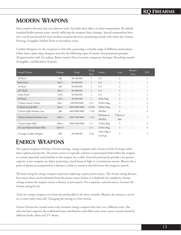## **Modern Weapons**

Most modern firearms lack any inherent traits, but defer their effects to their ammunition. By default, standard bullets possess none, merely inflicting the weapon's basic damage. Special ammunition however, can be purchased for most modern weapons however, permitting rounds with either the Armour Piercing, Frangible, Hollow Point or Incendiary traits.

Combat Shotguns are the exception to this rule, possessing a versatile range of different ammunition. Other than a plain slug, shotguns may fire the following types of round: Anti-personnel grenades (Fragmentation with 2m radius), Baton rounds (Stun Location, temporary damage), Breaching rounds (Frangible), and Buckshot (Scatter).

| Ranged Weapon                  | Damage   | Range         | Firing<br>Rate | Ammo                    | Load              | Weapon.<br>Traits        | <b>ENC</b>     |
|--------------------------------|----------|---------------|----------------|-------------------------|-------------------|--------------------------|----------------|
| .38 Pistol                     | 1d6      | 50/100/200    | 1              | $6-9$                   | 3                 |                          |                |
| 9mm Pistol                     | $1d6+1$  | 50/100/200    | $\mathbf{1}$   | $6-9$                   | $\overline{3}$    |                          |                |
| .45 Pistol                     | 1d8      | 50/100/200    | $\mathbf{1}$   | $6-9$                   | 3                 |                          |                |
| .357 Pistol                    | $1d8+1$  | 50/100/200    | $\mathbf{1}$   | $6-9$                   | 3                 | $\overline{\phantom{a}}$ |                |
| 10mm Pistol                    | 1d10     | 50/100/200    | $\mathbf{1}$   | $6 - 9$                 | 3                 |                          |                |
| .50 Pistol                     | 1d12     | 50/100/200    | $\mathbf{1}$   | 6 Box Mag               | 3                 |                          | $\overline{2}$ |
| 5.56mm Assault Carbine         | 2d6-1    | 500/900/2000  | $1/3/-$        | 30 Box Mag              | 3                 |                          | 3              |
| 5.56mm Assault Rifle           | $2d6+1$  | 600/1000/3000 | 1/3/20         | 30 Box Mag              | 3                 | $\overline{\phantom{a}}$ | 3              |
| 5.56mm Light Machine Gun       | 2d6      | 600/1000/3000 | $-/-/20$       | 200 Belt                | 6                 | ÷                        | 4              |
| 7.62mm Medium Machine Gun      | $2d8+2$  | 800/1500/4000 | $-1 - 122$     | 50 Drum or<br>200 Belt  | 3 Drum, 6<br>Belt |                          | 5              |
| 7.62mm Sniper Rifle            | $2d8+4$  | 900/1500/5000 | $1/-/-$        | 20 Box Mag              | 3                 |                          | 4              |
| .50 Anti-Material Sniper Rifle | $2d10+4$ |               | $1/-/-$        | 10 Box Mag              | 3                 |                          | 6              |
| 12 Gauge Combat Shotgun        | 3d6      | 20/100/200    | $1/-/8$        | 8 Box Mag or<br>32 Drum | 3                 |                          | 3              |

## **Energy Weapons**

The typical weapons of Science Fiction settings, energy weapons emit a beam or bolt of energy rather than a physical projectile. The power source is typically a battery or powerpack held within the weapon or carried separately and attached to the weapon via a cable. External powerpacks provide a far greater capacity. Laser weapons are silent, projecting a lased beam of light in a continuous stream. Blasters fire a pulse of plasma accompanied by a distinct crackle or sound as the bolt leaves the weapon's muzzle.

The load rating for energy weapons represents replacing a spent power source. The Ammo rating dictates how many shots can be obtained from the power source before it is depleted. For simplicity, Ammo ratings assume the weapon carries a battery or powerpack. For a separate, external source, increase the Ammo rating by ten.

Traits for energy weapons vary from the predictable to the more versatile. Blasters, for instance, can be set to stun rather than kill. Changing the setting is a Free Action.

Science Fiction has created some truly inventive energy weapons that have very different traits. The selection here captures the traditional lasers and blasters, and offers some more exotic variants found in different books, films and TV shows.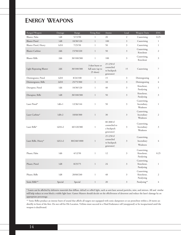### **Energy Weapons**

| Ranged Weapon                  | Damage   | Range       | Firing Rate                                      | Ammo                                                   | Load           | Weapon Traits                           | <b>ENC</b>     |
|--------------------------------|----------|-------------|--------------------------------------------------|--------------------------------------------------------|----------------|-----------------------------------------|----------------|
| Blaster, Palm                  | 1d8      | 5/15/90     | 1                                                | 20                                                     | $\overline{2}$ | Cauterising                             | 0.25           |
| <b>Blaster Pistol</b>          | 1d8      | 10/30/120   | $\mathbf{1}$                                     | 100                                                    | $\mathfrak z$  | Cauterising                             | $\mathbf{1}$   |
| Blaster Pistol, Heavy          | 1d10     | 7/25/50     | $\mathbf{1}$                                     | 50                                                     | $\overline{3}$ | Cauterising                             | $\mathbf{1}$   |
| <b>Blaster Carbine</b>         | 2d6      | 15/50/220   | $\mathbf{1}$                                     | 50                                                     | $\mathfrak{Z}$ | Cauterising,<br>Knockout                | $\mathfrak{2}$ |
| <b>Blaster Rifle</b>           | 2d6      | 30/100/300  | $\mathbf{1}$                                     | 100                                                    | $\mathfrak{Z}$ | Cauterising,<br>Knockout                | $\mathfrak{Z}$ |
| <b>Light Repeating Blaster</b> | 2d6      | 30/100/300  | 3 shot burst or<br>full auto (up to<br>25 shots) | 25 (250 if<br>connected<br>to backpack<br>generator)   | 15             | Cauterising                             | $\overline{7}$ |
| Disintegrator, Pistol          | 1d10     | 8/24/100    | $\mathbf{1}$                                     | 15                                                     | $\mathfrak{Z}$ | Disintegrating                          | $\mathfrak{2}$ |
| Disintergrator, Rifle          | 2d10     | 25/75/300   | $\mathbf{1}$                                     | 10                                                     | $\mathfrak{Z}$ | Disintegrating                          | $\overline{4}$ |
| Disruptor, Pistol              | 1d6      | 10/30/120   | $\,1$                                            | 40                                                     | $\mathfrak{Z}$ | Knockout,<br>Paralysing                 | $\mathbf{1}$   |
| Disruptor, Rifle               | 1d8      | 30/100/300  | $\mathbf{1}$                                     | 50                                                     | $\mathfrak{Z}$ | Knockout,<br>Paralysing                 | 3              |
| Laser Pistol*                  | $1d6+1$  | 12/36/144   | $\mathbf{1}$                                     | 50                                                     | $\mathfrak{Z}$ | Cauterising,<br>Incendiary,<br>Weakness | $\mathbf{1}$   |
| Laser Carbine*                 | $1d8+2$  | 18/60/300   | $\mathbf{1}$                                     | 30                                                     | $\sqrt{3}$     | Cauterising,<br>Incendiary<br>Weakness  | $\sqrt{2}$     |
| Laser Rifle*                   | $1d10+2$ | 40/120/380  | $\mathbf{1}$                                     | 80 (800 if<br>connected to<br>a backpack<br>generator) | $\mathfrak{Z}$ | Cauterising,<br>Incendiary<br>Weakness  | $\overline{3}$ |
| Laser Rifle, Heavy*            | $1d12+2$ | 80/240/1000 | $\,1$                                            | 25 (250 if<br>connected<br>to backpack<br>generator)   | $\mathfrak{Z}$ | Cauterising,<br>Incendiary<br>Weakness  | $\overline{4}$ |
| Phaser, Palm                   | 1d6      | 4/12/50     | $\mathbf{1}$                                     | 12                                                     | $\mathfrak{Z}$ | Cauterising,<br>Knockout,<br>Paralysing | 0.25           |
| Phaser, Pistol                 | 1d8      | 8/25/75     | $\,1$                                            | 24                                                     | $\mathfrak{Z}$ | Cauterising,<br>Knockout,<br>Paralysing | $\mathbf{1}$   |
| Phaser, Rifle                  | 1d8      | 20/60/240   | $\,1$                                            | 48                                                     | $\mathfrak{Z}$ | Cauterising,<br>Knockout,<br>Paralysing | $\mathfrak{2}$ |
| Sonic Rifle**                  | Special  | Special     | $\,1$                                            | 20                                                     | $\mathfrak{Z}$ | Paralysing**                            | $\overline{4}$ |

\* Lasers can be affected by defensive materials that diffuse, defract or reflect light, such as anti-lasre aerosol particles, mist, and mirrors. All and similar will help reduce or even block a visible light laser. Games Masters should decide on the effectiveness of deterrent and reduce the laser's damage by an appropriate percentage.

\*\* Sonic Rifles produce an intense burst of sound that affects all targets not equipped with sonic dampeners or ear protection within a 20 metre arc directly in front of the firer. Do not roll for Hit Location. Victims must succeed in a Hard Endurance roll (unopposed) or be incapacitated until the weapon is deactivated.